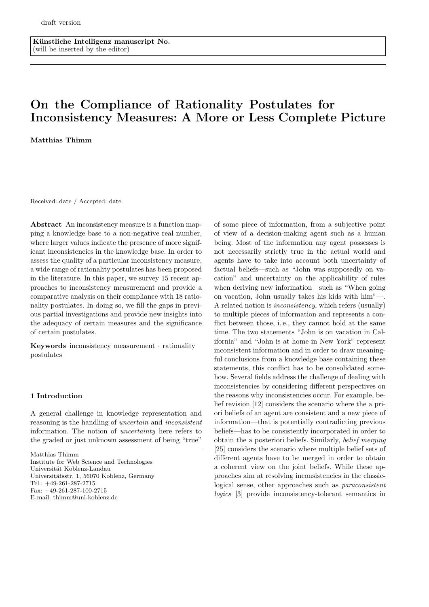Künstliche Intelligenz manuscript No. (will be inserted by the editor)

# On the Compliance of Rationality Postulates for Inconsistency Measures: A More or Less Complete Picture

Matthias Thimm

Received: date / Accepted: date

Abstract An inconsistency measure is a function mapping a knowledge base to a non-negative real number, where larger values indicate the presence of more significant inconsistencies in the knowledge base. In order to assess the quality of a particular inconsistency measure, a wide range of rationality postulates has been proposed in the literature. In this paper, we survey 15 recent approaches to inconsistency measurement and provide a comparative analysis on their compliance with 18 rationality postulates. In doing so, we fill the gaps in previous partial investigations and provide new insights into the adequacy of certain measures and the significance of certain postulates.

Keywords inconsistency measurement · rationality postulates

## 1 Introduction

A general challenge in knowledge representation and reasoning is the handling of uncertain and inconsistent information. The notion of uncertainty here refers to the graded or just unknown assessment of being "true"

Matthias Thimm Institute for Web Science and Technologies Universität Koblenz-Landau Universitätsstr. 1, 56070 Koblenz, Germany Tel.: +49-261-287-2715 Fax: +49-261-287-100-2715 E-mail: thimm@uni-koblenz.de

of some piece of information, from a subjective point of view of a decision-making agent such as a human being. Most of the information any agent possesses is not necessarily strictly true in the actual world and agents have to take into account both uncertainty of factual beliefs—such as "John was supposedly on vacation" and uncertainty on the applicability of rules when deriving new information—such as "When going on vacation, John usually takes his kids with him"—. A related notion is inconsistency, which refers (usually) to multiple pieces of information and represents a conflict between those, i. e., they cannot hold at the same time. The two statements "John is on vacation in California" and "John is at home in New York" represent inconsistent information and in order to draw meaningful conclusions from a knowledge base containing these statements, this conflict has to be consolidated somehow. Several fields address the challenge of dealing with inconsistencies by considering different perspectives on the reasons why inconsistencies occur. For example, belief revision [12] considers the scenario where the a priori beliefs of an agent are consistent and a new piece of information—that is potentially contradicting previous beliefs—has to be consistently incorporated in order to obtain the a posteriori beliefs. Similarly, belief merging [25] considers the scenario where multiple belief sets of different agents have to be merged in order to obtain a coherent view on the joint beliefs. While these approaches aim at resolving inconsistencies in the classiclogical sense, other approaches such as paraconsistent logics [3] provide inconsistency-tolerant semantics in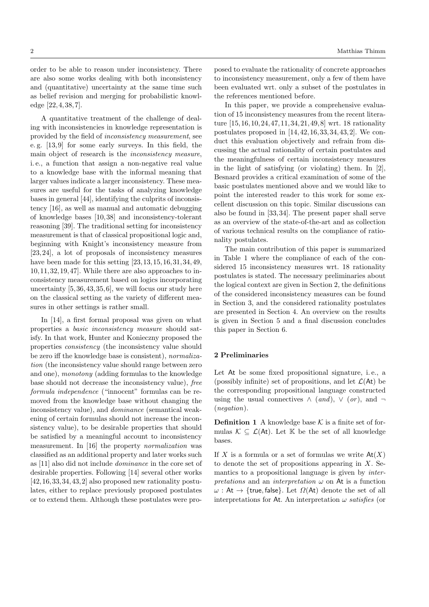order to be able to reason under inconsistency. There are also some works dealing with both inconsistency and (quantitative) uncertainty at the same time such as belief revision and merging for probabilistic knowledge [22, 4, 38, 7].

A quantitative treatment of the challenge of dealing with inconsistencies in knowledge representation is provided by the field of inconsistency measurement, see e. g. [13, 9] for some early surveys. In this field, the main object of research is the inconsistency measure, i. e., a function that assign a non-negative real value to a knowledge base with the informal meaning that larger values indicate a larger inconsistency. These measures are useful for the tasks of analyzing knowledge bases in general [44], identifying the culprits of inconsistency [16], as well as manual and automatic debugging of knowledge bases [10, 38] and inconsistency-tolerant reasoning [39]. The traditional setting for inconsistency measurement is that of classical propositional logic and, beginning with Knight's inconsistency measure from [23, 24], a lot of proposals of inconsistency measures have been made for this setting [23, 13, 15, 16, 31, 34, 49, 10, 11, 32, 19, 47]. While there are also approaches to inconsistency measurement based on logics incorporating uncertainty [5, 36, 43, 35, 6], we will focus our study here on the classical setting as the variety of different measures in other settings is rather small.

In [14], a first formal proposal was given on what properties a basic inconsistency measure should satisfy. In that work, Hunter and Konieczny proposed the properties consistency (the inconsistency value should be zero iff the knowledge base is consistent), normalization (the inconsistency value should range between zero and one), monotony (adding formulas to the knowledge base should not decrease the inconsistency value), free formula independence ("innocent" formulas can be removed from the knowledge base without changing the inconsistency value), and dominance (semantical weakening of certain formulas should not increase the inconsistency value), to be desirable properties that should be satisfied by a meaningful account to inconsistency measurement. In [16] the property normalization was classified as an additional property and later works such as [11] also did not include dominance in the core set of desirable properties. Following [14] several other works  $[42, 16, 33, 34, 43, 2]$  also proposed new rationality postulates, either to replace previously proposed postulates or to extend them. Although these postulates were proposed to evaluate the rationality of concrete approaches to inconsistency measurement, only a few of them have been evaluated wrt. only a subset of the postulates in the references mentioned before.

In this paper, we provide a comprehensive evaluation of 15 inconsistency measures from the recent literature [15, 16, 10, 24, 47, 11, 34, 21, 49, 8] wrt. 18 rationality postulates proposed in [14, 42, 16, 33, 34, 43, 2]. We conduct this evaluation objectively and refrain from discussing the actual rationality of certain postulates and the meaningfulness of certain inconsistency measures in the light of satisfying (or violating) them. In [2], Besnard provides a critical examination of some of the basic postulates mentioned above and we would like to point the interested reader to this work for some excellent discussion on this topic. Similar discussions can also be found in [33, 34]. The present paper shall serve as an overview of the state-of-the-art and as collection of various technical results on the compliance of rationality postulates.

The main contribution of this paper is summarized in Table 1 where the compliance of each of the considered 15 inconsistency measures wrt. 18 rationality postulates is stated. The necessary preliminaries about the logical context are given in Section 2, the definitions of the considered inconsistency measures can be found in Section 3, and the considered rationality postulates are presented in Section 4. An overview on the results is given in Section 5 and a final discussion concludes this paper in Section 6.

## 2 Preliminaries

Let At be some fixed propositional signature, i. e., a (possibly infinite) set of propositions, and let  $\mathcal{L}(At)$  be the corresponding propositional language constructed using the usual connectives  $\wedge$  (and),  $\vee$  (or), and  $\neg$ (negation).

**Definition 1** A knowledge base  $K$  is a finite set of formulas  $\mathcal{K} \subseteq \mathcal{L}(A_t)$ . Let K be the set of all knowledge bases.

If X is a formula or a set of formulas we write  $\mathsf{At}(X)$ to denote the set of propositions appearing in  $X$ . Semantics to a propositional language is given by interpretations and an interpretation  $\omega$  on At is a function  $\omega$ : At  $\rightarrow$  {true, false}. Let  $\Omega(At)$  denote the set of all interpretations for At. An interpretation  $\omega$  satisfies (or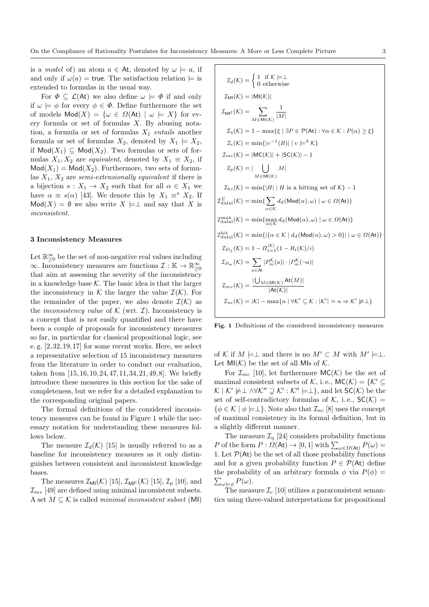is a *model* of) an atom  $a \in$  At, denoted by  $\omega \models a$ , if and only if  $\omega(a)$  = true. The satisfaction relation  $\models$  is extended to formulas in the usual way.

For  $\Phi \subseteq \mathcal{L}(A_t)$  we also define  $\omega \models \Phi$  if and only if  $\omega \models \phi$  for every  $\phi \in \Phi$ . Define furthermore the set of models  $\textsf{Mod}(X) = \{ \omega \in \Omega(\textsf{At}) \mid \omega \models X \}$  for every formula or set of formulas  $X$ . By abusing notation, a formula or set of formulas  $X_1$  entails another formula or set of formulas  $X_2$ , denoted by  $X_1 \models X_2$ , if  $\text{Mod}(X_1) \subseteq \text{Mod}(X_2)$ . Two formulas or sets of formulas  $X_1, X_2$  are *equivalent*, denoted by  $X_1 \equiv X_2$ , if  $\textsf{Mod}(X_1) = \textsf{Mod}(X_2)$ . Furthermore, two sets of formulas  $X_1, X_2$  are semi-extensionally equivalent if there is a bijection  $s: X_1 \to X_2$  such that for all  $\alpha \in X_1$  we have  $\alpha \equiv s(\alpha)$  [43]. We denote this by  $X_1 \equiv^s X_2$ . If  $Mod(X) = \emptyset$  we also write  $X \models \perp$  and say that X is inconsistent.

## 3 Inconsistency Measures

Let  $\mathbb{R}_{\geq 0}^{\infty}$  be the set of non-negative real values including  $\infty$ . Inconsistency measures are functions  $\mathcal{I}: \mathbb{K} \to \mathbb{R}^{\infty}_{\geq 0}$ that aim at assessing the severity of the inconsistency in a knowledge base  $K$ . The basic idea is that the larger the inconsistency in K the larger the value  $\mathcal{I}(\mathcal{K})$ . For the remainder of the paper, we also denote  $\mathcal{I}(\mathcal{K})$  as the *inconsistency value* of  $K$  (wrt.  $\mathcal{I}$ ). Inconsistency is a concept that is not easily quantified and there have been a couple of proposals for inconsistency measures so far, in particular for classical propositional logic, see e. g. [2, 32, 19, 17] for some recent works. Here, we select a representative selection of 15 inconsistency measures from the literature in order to conduct our evaluation, taken from [15, 16, 10, 24, 47, 11, 34, 21, 49, 8]. We briefly introduce these measures in this section for the sake of completeness, but we refer for a detailed explanation to the corresponding original papers.

The formal definitions of the considered inconsistency measures can be found in Figure 1 while the necessary notation for understanding these measures follows below.

The measure  $\mathcal{I}_d(\mathcal{K})$  [15] is usually referred to as a baseline for inconsistency measures as it only distinguishes between consistent and inconsistent knowledge bases.

The measures  $\mathcal{I}_{\text{MI}}(\mathcal{K})$  [15],  $\mathcal{I}_{\text{MI}}(\mathcal{K})$  [15],  $\mathcal{I}_{p}$  [10], and  $\mathcal{I}_{mv}$  [49] are defined using minimal inconsistent subsets. A set  $M \subseteq \mathcal{K}$  is called minimal inconsistent subset (MI)

$$
\mathcal{I}_d(\mathcal{K}) = \begin{cases}\n1 & \text{if } \mathcal{K} \models \bot \\
0 & \text{otherwise}\n\end{cases}
$$
\n
$$
\mathcal{I}_{\text{MI}}(\mathcal{K}) = |\text{MI}(\mathcal{K})|
$$
\n
$$
\mathcal{I}_{\text{MI}}(\mathcal{K}) = \sum_{M \in \text{MI}(\mathcal{K})} \frac{1}{|M|}
$$
\n
$$
\mathcal{I}_\eta(\mathcal{K}) = 1 - \max\{\xi \mid \exists P \in \mathcal{P}(\text{At}) : \forall \alpha \in \mathcal{K} : P(\alpha) \ge \xi\}
$$
\n
$$
\mathcal{I}_c(\mathcal{K}) = \min\{|v^{-1}(B)| | v \models^3 \mathcal{K}\}
$$
\n
$$
\mathcal{I}_{m_c}(\mathcal{K}) = |\text{MC}(\mathcal{K})| + |\text{SC}(\mathcal{K})| - 1
$$
\n
$$
\mathcal{I}_p(\mathcal{K}) = |\bigcup_{M \in \text{MI}(\mathcal{K})} M|
$$
\n
$$
\mathcal{I}_{hs}(\mathcal{K}) = \min\{|H| | H \text{ is a hitting set of } \mathcal{K}\} - 1
$$
\n
$$
\mathcal{I}_{\text{dual}}^{\Sigma}(\mathcal{K}) = \min\{|H| | H \text{ is a hitting set of } \mathcal{K}\} - 1
$$
\n
$$
\mathcal{I}_{\text{dual}}^{\text{max}}(\mathcal{K}) = \min\{\sum_{\alpha \in \mathcal{K}} d_d(\text{Mod}(\alpha), \omega) | \omega \in \Omega(\text{At})\}
$$
\n
$$
\mathcal{I}_{\text{dual}}^{\text{max}}(\mathcal{K}) = \min\{\max_{\alpha \in \mathcal{K}} d_d(\text{Mod}(\alpha), \omega) > 0\} | \omega \in \Omega(\text{At})\}
$$
\n
$$
\mathcal{I}_{D_f}(\mathcal{K}) = 1 - \mathcal{I}_{i=1}^{|\mathcal{K}|}(1 - R_i(\mathcal{K})/i)
$$
\n
$$
\mathcal{I}_{P_m}(\mathcal{K}) = \sum_{\alpha \in \text{At}} |P_m(\alpha)| \cdot |P_m(\alpha)|
$$
\n
$$
\mathcal{I}_{mv}(\mathcal{K}) = \
$$

Fig. 1 Definitions of the considered inconsistency measures

of K if  $M \models \perp$  and there is no  $M' \subset M$  with  $M' \models \perp$ . Let  $MI(K)$  be the set of all MIs of K.

For  $\mathcal{I}_{mc}$  [10], let furthermore  $MC(K)$  be the set of maximal consistent subsets of K, i.e.,  $MC(K) = \{K' \subseteq$  $\mathcal{K} \mid \mathcal{K}' \not\models \perp \wedge \forall \mathcal{K}'' \supsetneq \mathcal{K}' : \mathcal{K}'' \models \perp$ , and let  $SC(\mathcal{K})$  be the set of self-contradictory formulas of K, i.e.,  $SC(K)$  =  $\{\phi \in \mathcal{K} \mid \phi \models \perp\}.$  Note also that  $\mathcal{I}_{nc}$  [8] uses the concept of maximal consistency in its formal definition, but in a slightly different manner.

The measure  $\mathcal{I}_n$  [24] considers probability functions P of the form  $P: \Omega(\mathsf{At}) \to [0,1]$  with  $\sum_{\omega \in \Omega(\mathsf{At})} P(\omega) =$ 1. Let  $\mathcal{P}(At)$  be the set of all those probability functions and for a given probability function  $P \in \mathcal{P}(\mathsf{At})$  define  $\sum_{\omega\models\phi}P(\omega).$ the probability of an arbitrary formula  $\phi$  via  $P(\phi)$  =

The measure  $\mathcal{I}_c$  [10] utilizes a paraconsistent semantics using three-valued interpretations for propositional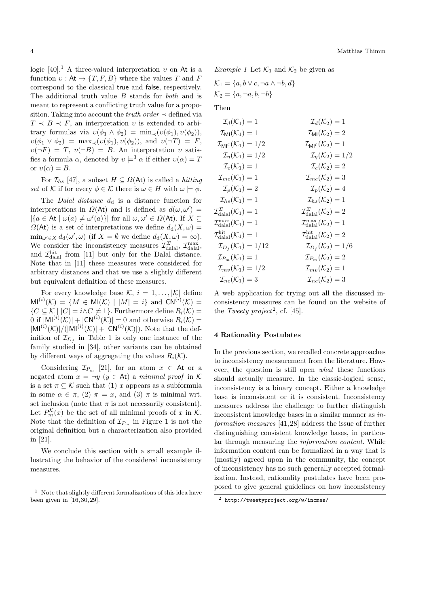logic [40].<sup>1</sup> A three-valued interpretation  $v$  on At is a function  $v : \mathsf{At} \to \{T, F, B\}$  where the values T and F correspond to the classical true and false, respectively. The additional truth value B stands for both and is meant to represent a conflicting truth value for a proposition. Taking into account the *truth order*  $\prec$  defined via  $T \prec B \prec F$ , an interpretation v is extended to arbitrary formulas via  $v(\phi_1 \wedge \phi_2) = \min_{\prec} (v(\phi_1), v(\phi_2)),$  $v(\phi_1 \vee \phi_2) = \max_{\prec} (v(\phi_1), v(\phi_2))$ , and  $v(\neg T) = F$ ,  $v(\neg F) = T$ ,  $v(\neg B) = B$ . An interpretation v satisfies a formula  $\alpha$ , denoted by  $v \models^3 \alpha$  if either  $v(\alpha) = T$ or  $v(\alpha) = B$ .

For  $\mathcal{I}_{hs}$  [47], a subset  $H \subseteq \Omega(\mathsf{At})$  is called a *hitting* set of K if for every  $\phi \in \mathcal{K}$  there is  $\omega \in H$  with  $\omega \models \phi$ .

The *Dalal distance*  $d_d$  is a distance function for interpretations in  $\Omega(\mathsf{At})$  and is defined as  $d(\omega, \omega') =$  $|\{a \in \mathsf{At} \mid \omega(a) \neq \omega'(a)\}|$  for all  $\omega, \omega' \in \Omega(\mathsf{At})$ . If  $X \subseteq$  $\Omega(At)$  is a set of interpretations we define  $d_d(X, \omega) =$  $\min_{\omega' \in X} d_d(\omega', \omega)$  (if  $X = \emptyset$  we define  $d_d(X, \omega) = \infty$ ). We consider the inconsistency measures  $\mathcal{I}_{\text{dala}}^{\Sigma}$ ,  $\mathcal{I}_{\text{dala}}^{\max}$ , and  $\mathcal{I}^{\text{hit}}_{\text{dala}}$  from [11] but only for the Dalal distance. Note that in [11] these measures were considered for arbitrary distances and that we use a slightly different but equivalent definition of these measures.

For every knowledge base  $\mathcal{K}, i = 1, \ldots, |\mathcal{K}|$  define  $MI^{(i)}(\mathcal{K}) = \{ M \in MI(\mathcal{K}) \mid |M| = i \}$  and  $CN^{(i)}(\mathcal{K}) =$  ${C \subseteq \mathcal{K} \mid |C| = i \land C \not\models \perp}.$  Furthermore define  $R_i(\mathcal{K}) =$ 0 if  $|M|^{(i)}(\mathcal{K})| + |\mathsf{CN}^{(i)}(\mathcal{K})| = 0$  and otherwise  $R_i(\mathcal{K}) =$  $|\text{MI}^{(i)}(\mathcal{K})|/(|\text{MI}^{(i)}(\mathcal{K})|+|\text{CN}^{(i)}(\mathcal{K})|$ ). Note that the definition of  $\mathcal{I}_{D_f}$  in Table 1 is only one instance of the family studied in [34], other variants can be obtained by different ways of aggregating the values  $R_i(\mathcal{K})$ .

Considering  $\mathcal{I}_{P_m}$  [21], for an atom  $x \in \mathsf{At}$  or a negated atom  $x = \neg y$   $(y \in At)$  a minimal proof in K is a set  $\pi \subseteq \mathcal{K}$  such that (1) x appears as a subformula in some  $\alpha \in \pi$ , (2)  $\pi \models x$ , and (3)  $\pi$  is minimal wrt. set inclusion (note that  $\pi$  is not necessarily consistent). Let  $P_m^{\mathcal{K}}(x)$  be the set of all minimal proofs of x in  $\mathcal{K}$ . Note that the definition of  $\mathcal{I}_{P_m}$  in Figure 1 is not the original definition but a characterization also provided in [21].

We conclude this section with a small example illustrating the behavior of the considered inconsistency measures.

Example 1 Let  $\mathcal{K}_1$  and  $\mathcal{K}_2$  be given as

 $\mathcal{K}_1 = \{a, b \lor c, \neg a \land \neg b, d\}$  $\mathcal{K}_2 = \{a, \neg a, b, \neg b\}$ 

Then

| $\mathcal{I}_d(K_1) = 1$               | $\mathcal{I}_d(K_2) = 1$              |
|----------------------------------------|---------------------------------------|
| $\mathcal{I}_{\text{MI}}(K_1) = 1$     | $\mathcal{I}_{\text{MI}}(K_2) = 2$    |
| $\mathcal{I}_{\text{MI}}(K_1) = 1/2$   | $\mathcal{I}_{\text{MI}}(K_2) = 1/2$  |
| $\mathcal{I}_{\text{n}}(K_1) = 1/2$    | $\mathcal{I}_{\text{n}}(K_2) = 1/2$   |
| $\mathcal{I}_{\text{c}}(K_1) = 1$      | $\mathcal{I}_{\text{n}}(K_2) = 2$     |
| $\mathcal{I}_{\text{mc}}(K_1) = 1$     | $\mathcal{I}_{\text{mc}}(K_2) = 3$    |
| $\mathcal{I}_{\text{p}}(K_1) = 2$      | $\mathcal{I}_{\text{mc}}(K_2) = 4$    |
| $\mathcal{I}_{\text{h}_s}(K_1) = 1$    | $\mathcal{I}_{\text{h}_s}(K_2) = 1$   |
| $\mathcal{I}_{\text{d}alal}(K_1) = 1$  | $\mathcal{I}_{\text{d}alal}(K_2) = 2$ |
| $\mathcal{I}_{\text{d}alal}(K_1) = 1$  | $\mathcal{I}_{\text{d}alal}(K_2) = 1$ |
| $\mathcal{I}_{\text{d}alal}(K_1) = 1$  | $\mathcal{I}_{\text{d}alal}(K_2) = 2$ |
| $\mathcal{I}_{\text{p}_f}(K_1) = 1/12$ | $\mathcal{I}_{\text{d}alal}(K_2) =$   |

A web application for trying out all the discussed inconsistency measures can be found on the website of the Tweety project<sup>2</sup>, cf. [45].

# 4 Rationality Postulates

In the previous section, we recalled concrete approaches to inconsistency measurement from the literature. However, the question is still open what these functions should actually measure. In the classic-logical sense, inconsistency is a binary concept. Either a knowledge base is inconsistent or it is consistent. Inconsistency measures address the challenge to further distinguish inconsistent knowledge bases in a similar manner as information measures [41, 28] address the issue of further distinguishing consistent knowledge bases, in particular through measuring the information content. While information content can be formalized in a way that is (mostly) agreed upon in the community, the concept of inconsistency has no such generally accepted formalization. Instead, rationality postulates have been proposed to give general guidelines on how inconsistency

 $^{\rm 1} \,$  Note that slightly different formalizations of this idea have been given in [16,30,29].

<sup>2</sup> http://tweetyproject.org/w/incmes/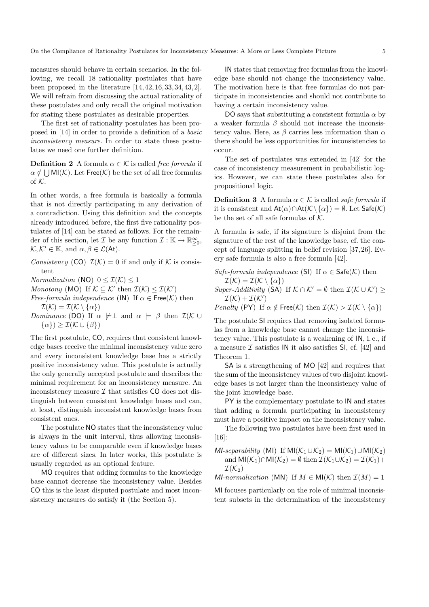measures should behave in certain scenarios. In the following, we recall 18 rationality postulates that have been proposed in the literature [14, 42, 16, 33, 34, 43, 2]. We will refrain from discussing the actual rationality of these postulates and only recall the original motivation for stating these postulates as desirable properties.

The first set of rationality postulates has been proposed in [14] in order to provide a definition of a basic inconsistency measure. In order to state these postulates we need one further definition.

**Definition 2** A formula  $\alpha \in \mathcal{K}$  is called free formula if  $\alpha \notin \bigcup \mathsf{MI}(\mathcal{K})$ . Let Free $(\mathcal{K})$  be the set of all free formulas of  $K$ .

In other words, a free formula is basically a formula that is not directly participating in any derivation of a contradiction. Using this definition and the concepts already introduced before, the first five rationality postulates of [14] can be stated as follows. For the remainder of this section, let  $\mathcal I$  be any function  $\mathcal I : \mathbb{K} \to \mathbb{R}^\infty_{\geq 0}$ ,  $\mathcal{K}, \mathcal{K}' \in \mathbb{K}$ , and  $\alpha, \beta \in \mathcal{L}(\mathsf{At})$ .

Consistency (CO)  $\mathcal{I}(\mathcal{K}) = 0$  if and only if K is consistent

*Normalization* (NO)  $0 \leq \mathcal{I}(\mathcal{K}) \leq 1$ 

Monotony (MO) If  $K \subseteq \mathcal{K}'$  then  $\mathcal{I}(\mathcal{K}) \leq \mathcal{I}(\mathcal{K}')$ 

*Free-formula independence* (IN) If  $\alpha \in \text{Free}(\mathcal{K})$  then  $\mathcal{I}(\mathcal{K}) = \mathcal{I}(\mathcal{K} \setminus {\alpha})$ 

Dominance (DO) If  $\alpha \not\models \perp$  and  $\alpha \models \beta$  then  $\mathcal{I}(\mathcal{K} \cup$  $\{\alpha\}\geq \mathcal{I}(\mathcal{K}\cup\{\beta\})$ 

The first postulate, CO, requires that consistent knowledge bases receive the minimal inconsistency value zero and every inconsistent knowledge base has a strictly positive inconsistency value. This postulate is actually the only generally accepted postulate and describes the minimal requirement for an inconsistency measure. An inconsistency measure  $\mathcal I$  that satisfies CO does not distinguish between consistent knowledge bases and can, at least, distinguish inconsistent knowledge bases from consistent ones.

The postulate NO states that the inconsistency value is always in the unit interval, thus allowing inconsistency values to be comparable even if knowledge bases are of different sizes. In later works, this postulate is usually regarded as an optional feature.

MO requires that adding formulas to the knowledge base cannot decrease the inconsistency value. Besides CO this is the least disputed postulate and most inconsistency measures do satisfy it (the Section 5).

IN states that removing free formulas from the knowledge base should not change the inconsistency value. The motivation here is that free formulas do not participate in inconsistencies and should not contribute to having a certain inconsistency value.

DO says that substituting a consistent formula  $\alpha$  by a weaker formula  $\beta$  should not increase the inconsistency value. Here, as  $\beta$  carries less information than  $\alpha$ there should be less opportunities for inconsistencies to occur.

The set of postulates was extended in [42] for the case of inconsistency measurement in probabilistic logics. However, we can state these postulates also for propositional logic.

**Definition 3** A formula  $\alpha \in \mathcal{K}$  is called *safe formula* if it is consistent and  $At(\alpha) \cap At(\mathcal{K} \setminus {\alpha}) = \emptyset$ . Let Safe(K) be the set of all safe formulas of  $K$ .

A formula is safe, if its signature is disjoint from the signature of the rest of the knowledge base, cf. the concept of language splitting in belief revision [37, 26]. Every safe formula is also a free formula [42].

Safe-formula independence (SI) If  $\alpha \in \mathsf{Safe}(\mathcal{K})$  then  $\mathcal{I}(\mathcal{K}) = \mathcal{I}(\mathcal{K} \setminus {\alpha})$ Super-Additivity (SA) If  $K \cap K' = \emptyset$  then  $\mathcal{I}(K \cup K') \geq$  $\mathcal{I}(\mathcal{K}) + \mathcal{I}(\mathcal{K}')$ *Penalty* (PY) If  $\alpha \notin \text{Free}(\mathcal{K})$  then  $\mathcal{I}(\mathcal{K}) > \mathcal{I}(\mathcal{K} \setminus {\alpha})$ 

The postulate SI requires that removing isolated formulas from a knowledge base cannot change the inconsistency value. This postulate is a weakening of IN, i. e., if a measure  $\mathcal I$  satisfies IN it also satisfies SI, cf. [42] and Theorem 1.

SA is a strengthening of MO [42] and requires that the sum of the inconsistency values of two disjoint knowledge bases is not larger than the inconsistency value of the joint knowledge base.

PY is the complementary postulate to IN and states that adding a formula participating in inconsistency must have a positive impact on the inconsistency value.

The following two postulates have been first used in [16]:

MI-separability (MI) If MI $(\mathcal{K}_1 \cup \mathcal{K}_2) = MI(\mathcal{K}_1) \cup MI(\mathcal{K}_2)$ and  $MI(\mathcal{K}_1)\cap MI(\mathcal{K}_2) = \emptyset$  then  $\mathcal{I}(\mathcal{K}_1\cup\mathcal{K}_2) = \mathcal{I}(\mathcal{K}_1) +$  $\mathcal{I}(\mathcal{K}_2)$ 

*MI-normalization* (MN) If  $M \in MI(\mathcal{K})$  then  $\mathcal{I}(M) = 1$ 

MI focuses particularly on the role of minimal inconsistent subsets in the determination of the inconsistency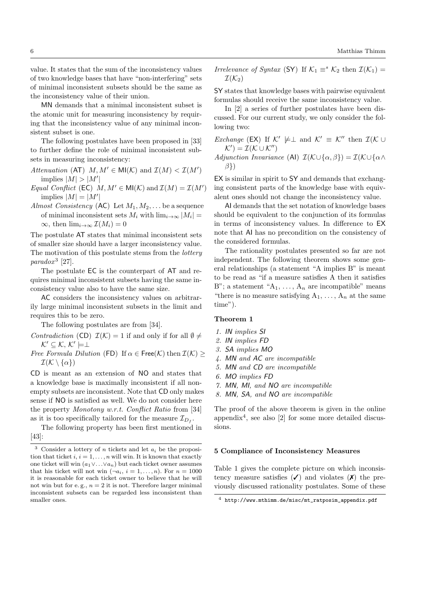value. It states that the sum of the inconsistency values of two knowledge bases that have "non-interfering" sets of minimal inconsistent subsets should be the same as the inconsistency value of their union.

MN demands that a minimal inconsistent subset is the atomic unit for measuring inconsistency by requiring that the inconsistency value of any minimal inconsistent subset is one.

The following postulates have been proposed in [33] to further define the role of minimal inconsistent subsets in measuring inconsistency:

Attenuation (AT)  $M, M' \in \mathsf{MI}(\mathcal{K})$  and  $\mathcal{I}(M) < \mathcal{I}(M')$ implies  $|M| > |M'|$ 

- Equal Conflict (EC)  $M, M' \in \mathsf{MI}(\mathcal{K})$  and  $\mathcal{I}(M) = \mathcal{I}(M')$ implies  $|M| = |M'|$
- Almost Consistency (AC) Let  $M_1, M_2, \ldots$  be a sequence of minimal inconsistent sets  $M_i$  with  $\lim_{i\to\infty} |M_i| =$  $\infty$ , then  $\lim_{i\to\infty} \mathcal{I}(M_i) = 0$

The postulate AT states that minimal inconsistent sets of smaller size should have a larger inconsistency value. The motivation of this postulate stems from the *lottery* parado $x^3$  [27].

The postulate EC is the counterpart of AT and requires minimal inconsistent subsets having the same inconsistency value also to have the same size.

AC considers the inconsistency values on arbitrarily large minimal inconsistent subsets in the limit and requires this to be zero.

The following postulates are from [34].

- Contradiction (CD)  $\mathcal{I}(\mathcal{K}) = 1$  if and only if for all  $\emptyset \neq$  $K' \subseteq K, K' \models \perp$
- Free Formula Dilution (FD) If  $\alpha \in \text{Free}(\mathcal{K})$  then  $\mathcal{I}(\mathcal{K})$  $\mathcal{I}(\mathcal{K}\setminus\{\alpha\})$

CD is meant as an extension of NO and states that a knowledge base is maximally inconsistent if all nonempty subsets are inconsistent. Note that CD only makes sense if NO is satisfied as well. We do not consider here the property Monotony w.r.t. Conflict Ratio from [34] as it is too specifically tailored for the measure  $\mathcal{I}_{D_f}$ .

The following property has been first mentioned in [43]:

Irrelevance of Syntax (SY) If  $\mathcal{K}_1 \equiv^s \mathcal{K}_2$  then  $\mathcal{I}(\mathcal{K}_1) =$  $\mathcal{I}(\mathcal{K}_2)$ 

SY states that knowledge bases with pairwise equivalent formulas should receive the same inconsistency value.

In [2] a series of further postulates have been discussed. For our current study, we only consider the following two:

*Exchange* (EX) If  $K' \not\models \perp$  and  $K' \equiv K''$  then  $\mathcal{I}(K \cup$  $K'$ ) =  $\mathcal{I}(\mathcal{K} \cup \mathcal{K}'')$ Adjunction Invariance (AI)  $\mathcal{I}(\mathcal{K}\cup\{\alpha,\beta\})=\mathcal{I}(\mathcal{K}\cup\{\alpha\}\)$  $\beta$ })

EX is similar in spirit to SY and demands that exchanging consistent parts of the knowledge base with equivalent ones should not change the inconsistency value.

AI demands that the set notation of knowledge bases should be equivalent to the conjunction of its formulas in terms of inconsistency values. In difference to EX note that AI has no precondition on the consistency of the considered formulas.

The rationality postulates presented so far are not independent. The following theorem shows some general relationships (a statement "A implies B" is meant to be read as "if a measure satisfies A then it satisfies B"; a statement " $A_1, \ldots, A_n$  are incompatible" means "there is no measure satisfying  $A_1, \ldots, A_n$  at the same time").

## Theorem 1

- 1. IN implies SI
- 2. IN implies FD
- 3. SA implies MO
- 4. MN and AC are incompatible
- 5. MN and CD are incompatible
- 6. MO implies FD
- 7. MN, MI, and NO are incompatible
- 8. MN, SA, and NO are incompatible

The proof of the above theorem is given in the online appendix<sup>4</sup>, see also [2] for some more detailed discussions.

## 5 Compliance of Inconsistency Measures

Table 1 gives the complete picture on which inconsistency measure satisfies  $(\checkmark)$  and violates  $(\checkmark)$  the previously discussed rationality postulates. Some of these

<sup>&</sup>lt;sup>3</sup> Consider a lottery of *n* tickets and let  $a_i$  be the proposition that ticket  $i, i = 1, \ldots, n$  will win. It is known that exactly one ticket will win  $(a_1 \vee \ldots \vee a_n)$  but each ticket owner assumes that his ticket will not win  $(\neg a_i, i = 1, \ldots, n)$ . For  $n = 1000$ it is reasonable for each ticket owner to believe that he will not win but for e.g.,  $n = 2$  it is not. Therefore larger minimal inconsistent subsets can be regarded less inconsistent than smaller ones.

<sup>4</sup> http://www.mthimm.de/misc/mt\_ratposim\_appendix.pdf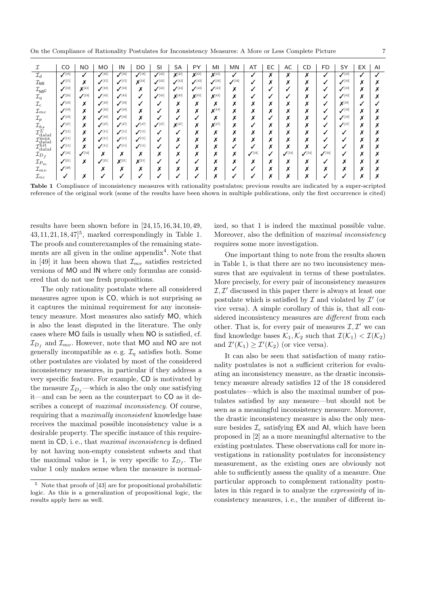On the Compliance of Rationality Postulates for Inconsistency Measures: A More or Less Complete Picture 7

|                                                                      | CO                   | <b>NO</b>            | <b>MO</b>            | IN                   | DO                        | SI                   | SA                            | PY                   | MI                   | MN                            | AT   | EC                            | AC                   | CD                            | FD                   | SY                   | EX                | AI |
|----------------------------------------------------------------------|----------------------|----------------------|----------------------|----------------------|---------------------------|----------------------|-------------------------------|----------------------|----------------------|-------------------------------|------|-------------------------------|----------------------|-------------------------------|----------------------|----------------------|-------------------|----|
| $\mathcal{I}_d$                                                      | $\mathcal{J}^{[16]}$ |                      | $J^{[16]}$           | $\mathcal{J}^{[16]}$ | $\sqrt{16}$               | $\mathcal{J}^{[43]}$ | $\mathbf{X}^{[43]}$           | $X^{[43]}$           | $X^{[43]}$           |                               |      | ^                             | Х                    | Х                             | ✓                    | $\mathcal{J}^{[43]}$ | √                 |    |
| $\mathcal{I}_{\mathsf{MI}}$                                          | $\mathcal{I}^{[15]}$ | v<br>Λ               | $\mathcal{I}^{[15]}$ | $\mathcal{I}^{[15]}$ | $X^{[34]}$                | $\mathcal{I}^{[43]}$ | $\mathcal{J}^{[43]}$          | $\mathcal{I}^{[43]}$ | $\mathcal{J}^{[16]}$ | $\mathcal{J}^{[16]}$          |      | ́                             | $\checkmark$<br>↗    | v<br>↗                        | ✓                    | $\mathcal{J}^{[10]}$ | ↗                 | ↗  |
| $\mathcal{I}_{\textsf{MI}}$ c                                        | $\mathcal{J}^{[10]}$ | $X^{[43]}$           | $\mathcal{J}^{[10]}$ | $\mathcal{J}^{[10]}$ | v<br>$\ddot{\phantom{0}}$ | $\mathcal{J}^{[43]}$ | $\mathcal{J}^{[43]}$          | $\mathcal{J}^{[43]}$ | $\mathcal{J}^{[43]}$ | $\ddot{\phantom{0}}$          |      |                               | ں                    | ↗                             | √                    | $\mathcal{J}^{[10]}$ | Х                 | ↗  |
| $\mathcal{I}_\eta$                                                   | $\mathcal{I}^{[24]}$ | $\mathcal{J}^{[24]}$ | $\mathcal{I}^{[43]}$ | $\mathcal{J}^{[43]}$ |                           | (43)<br>√            | $\mathbf{X}^{[43]}$           | $X^{[43]}$           | $X^{[43]}$           | $\ddot{\phantom{0}}$          |      | ٠                             |                      | ́                             | √                    | $\mathcal{I}^{[43]}$ | ^                 | ́  |
| ${\mathcal{I}}_c$                                                    | $\mathcal{J}^{[10]}$ | ^                    | $\mathcal{J}^{[10]}$ | $\mathcal{J}^{[10]}$ |                           |                      | ^                             | Λ                    | ́                    | $\ddot{\phantom{0}}$          | ^    | Λ                             | v<br>́               | $\overline{\phantom{a}}$<br>↗ | √                    | $X^{[10]}$           |                   |    |
| $\mathcal{I}_{mc}$                                                   | $\mathcal{J}^{[10]}$ | ́                    | $\mathcal{J}^{[10]}$ | $\mathcal{J}^{[10]}$ | $\ddot{\phantom{0}}$      |                      | ^                             | Λ                    | $X^{[18]}$           | ́                             | ^    | Λ                             | ́                    | ↗                             | √                    | $\mathcal{J}^{[10]}$ | ↗                 | ́  |
| $\mathcal{I}_p$                                                      | $\mathcal{J}^{[10]}$ |                      | $\mathcal{J}^{[10]}$ | $\mathcal{J}^{[10]}$ | $\mathbf{v}$<br>́         |                      |                               |                      | ^                    | $\ddot{\phantom{0}}$          | ^    |                               | v<br>^               | $\overline{\phantom{a}}$<br>↗ | √                    | $\mathcal{J}^{[10]}$ | Х                 | ́  |
| $\mathcal{I}_{hs}$                                                   | $\mathcal{I}^{[47]}$ | ^                    | $\mathcal{I}^{[47]}$ | $\mathcal{I}^{[47]}$ | $\mathcal{I}^{[47]}$      | $\mathcal{I}^{[47]}$ | $X^{[47]}$                    | ^                    | Y[47]<br>↗           | $\ddot{\phantom{0}}$          |      | Λ                             | $\mathbf{v}$<br>́    | $\mathbf{v}$<br>↗             | √                    | $\mathcal{I}^{[47]}$ | $\mathbf{v}$<br>↗ | ́  |
| $\mathcal{I}^{\widetilde{\Sigma}}_{\rm dial}$                        | $\mathcal{J}^{[11]}$ |                      | $\mathcal{J}^{[11]}$ | $\mathcal{J}^{[11]}$ | $\mathcal{J}^{[11]}$      |                      |                               | ^                    | ^                    | ́                             | ^    | ^                             | M<br>↗               | ↗                             | √                    | √                    | ↗                 | ́  |
| $\tau$ max                                                           | $\mathcal{J}^{[11]}$ | $\checkmark$<br>^    | $\mathcal{J}^{[11]}$ | $\mathcal{I}^{[11]}$ | $\mathcal{I}^{[11]}$      |                      | $\overline{\phantom{a}}$<br>↗ | ^                    | ^                    | ́                             | ^    | ^                             | $\mathbf{v}$<br>↗    | v<br>↗                        | v                    | v                    | $\mathbf{v}$<br>↗ | ́  |
| $\frac{L_{\text{dala}}}{\tau_{\text{hit}}}$<br>$\rm \nu_{\rm{dala}}$ | $\mathcal{J}^{[11]}$ | ^                    | $\mathcal{J}^{[11]}$ | $\mathcal{J}^{[11]}$ | $\mathcal{J}^{[11]}$      |                      |                               | ^                    | ^                    |                               |      | ^                             | v<br>↗               | ↗                             | ✓                    | ✓                    | X                 | ́  |
| ${\cal I}_{D_f}$                                                     | $\mathcal{J}^{[34]}$ | $\mathcal{J}^{[34]}$ | $\mathbf{v}$<br>^    | v<br>^               | $\checkmark$<br>^         | ^                    | ́                             | ^                    | ́                    | $\overline{\phantom{a}}$<br>^ | (34) |                               | $\mathcal{J}^{[34]}$ | $\mathcal{J}^{[34]}$          | $\mathcal{J}^{[34]}$ |                      | $\mathbf{v}$<br>↗ | ^  |
| ${\cal I}_{P_m}$                                                     | $\mathcal{J}^{[21]}$ | v<br>^               | $\mathcal{J}^{[21]}$ | $\mathsf{X}^{[21]}$  | $\mathsf{X}^{[21]}$       |                      |                               |                      | ↗                    | ↗                             | ↗    | $\overline{\phantom{a}}$<br>^ | $\checkmark$<br>↗    | $\overline{\phantom{a}}$<br>↗ |                      | v<br>↗               | $\checkmark$<br>↗ | ↗  |
| $\mathcal{I}_{mv}$                                                   | $\mathcal{J}^{[49]}$ |                      |                      | v<br>́               | $\ddot{\phantom{0}}$      | ^                    | ^                             | ^                    | ^                    |                               |      | ^                             | M<br>↗               | ↗                             | х                    | ↗                    | v<br>ᅎ            | ́  |
| $\mathcal{I}_{nc}$                                                   |                      |                      |                      |                      |                           |                      |                               |                      |                      |                               |      |                               |                      |                               |                      |                      | v                 |    |

Table 1 Compliance of inconsistency measures with rationality postulates; previous results are indicated by a super-scripted reference of the original work (some of the results have been shown in multiple publications, only the first occurrence is cited)

results have been shown before in [24, 15, 16, 34, 10, 49,  $43, 11, 21, 18, 47$ <sup>5</sup>, marked correspondingly in Table 1. The proofs and counterexamples of the remaining statements are all given in the online appendix<sup>4</sup>. Note that in [49] it has been shown that  $\mathcal{I}_{mv}$  satisfies restricted versions of MO and IN where only formulas are considered that do not use fresh propositions.

The only rationality postulate where all considered measures agree upon is CO, which is not surprising as it captures the minimal requirement for any inconsistency measure. Most measures also satisfy MO, which is also the least disputed in the literature. The only cases where MO fails is usually when NO is satisfied, cf.  $\mathcal{I}_{D_f}$  and  $\mathcal{I}_{mv}$ . However, note that MO and NO are not generally incompatible as e.g.  $\mathcal{I}_\eta$  satisfies both. Some other postulates are violated by most of the considered inconsistency measures, in particular if they address a very specific feature. For example, CD is motivated by the measure  $\mathcal{I}_{D_f}$ —which is also the only one satisfying it—and can be seen as the counterpart to CO as it describes a concept of maximal inconsistency. Of course, requiring that a maximally inconsistent knowledge base receives the maximal possible inconsistency value is a desirable property. The specific instance of this requirement in CD, i.e., that *maximal inconsistency* is defined by not having non-empty consistent subsets and that the maximal value is 1, is very specific to  $\mathcal{I}_{D_f}$ . The value 1 only makes sense when the measure is normalized, so that 1 is indeed the maximal possible value. Moreover, also the definition of maximal inconsistency requires some more investigation.

One important thing to note from the results shown in Table 1, is that there are no two inconsistency measures that are equivalent in terms of these postulates. More precisely, for every pair of inconsistency measures  $I, I'$  discussed in this paper there is always at least one postulate which is satisfied by  $\mathcal I$  and violated by  $\mathcal I'$  (or vice versa). A simple corollary of this is, that all considered inconsistency measures are *different* from each other. That is, for every pair of measures  $\mathcal{I}, \mathcal{I}'$  we can find knowledge bases  $\mathcal{K}_1, \mathcal{K}_2$  such that  $\mathcal{I}(\mathcal{K}_1) < \mathcal{I}(\mathcal{K}_2)$ and  $\mathcal{I}'(\mathcal{K}_1) \geq \mathcal{I}'(\mathcal{K}_2)$  (or vice versa).

It can also be seen that satisfaction of many rationality postulates is not a sufficient criterion for evaluating an inconsistency measure, as the drastic inconsistency measure already satisfies 12 of the 18 considered postulates—which is also the maximal number of postulates satisfied by any measure—but should not be seen as a meaningful inconsistency measure. Moreover, the drastic inconsistency measure is also the only measure besides  $\mathcal{I}_c$  satisfying EX and AI, which have been proposed in [2] as a more meaningful alternative to the existing postulates. These observations call for more investigations in rationality postulates for inconsistency measurement, as the existing ones are obviously not able to sufficiently assess the quality of a measure. One particular approach to complement rationality postulates in this regard is to analyze the expressivity of inconsistency measures, i. e., the number of different in-

<sup>5</sup> Note that proofs of [43] are for propositional probabilistic logic. As this is a generalization of propositional logic, the results apply here as well.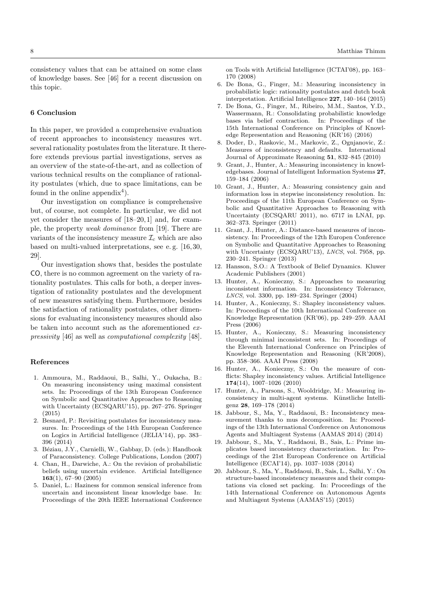consistency values that can be attained on some class of knowledge bases. See [46] for a recent discussion on this topic.

#### 6 Conclusion

In this paper, we provided a comprehensive evaluation of recent approaches to inconsistency measures wrt. several rationality postulates from the literature. It therefore extends previous partial investigations, serves as an overview of the state-of-the-art, and as collection of various technical results on the compliance of rationality postulates (which, due to space limitations, can be found in the online appendix<sup>4</sup>).

Our investigation on compliance is comprehensive but, of course, not complete. In particular, we did not yet consider the measures of [18–20, 1] and, for example, the property weak dominance from [19]. There are variants of the inconsistency measure  $\mathcal{I}_c$  which are also based on multi-valued interpretations, see e. g. [16, 30, 29].

Our investigation shows that, besides the postulate CO, there is no common agreement on the variety of rationality postulates. This calls for both, a deeper investigation of rationality postulates and the development of new measures satisfying them. Furthermore, besides the satisfaction of rationality postulates, other dimensions for evaluating inconsistency measures should also be taken into account such as the aforementioned expressivity [46] as well as computational complexity [48].

## References

- 1. Ammoura, M., Raddaoui, B., Salhi, Y., Oukacha, B.: On measuring inconsistency using maximal consistent sets. In: Proceedings of the 13th European Conference on Symbolic and Quantitative Approaches to Reasoning with Uncertainty (ECSQARU'15), pp. 267–276. Springer (2015)
- 2. Besnard, P.: Revisiting postulates for inconsistency measures. In: Proceedings of the 14th European Conference on Logics in Artificial Intelligence (JELIA'14), pp. 383– 396 (2014)
- 3. Béziau, J.Y., Carnielli, W., Gabbay, D. (eds.): Handbook of Paraconsistency. College Publications, London (2007)
- 4. Chan, H., Darwiche, A.: On the revision of probabilistic beliefs using uncertain evidence. Artificial Intelligence 163(1), 67–90 (2005)
- 5. Daniel, L.: Haziness for common sensical inference from uncertain and inconsistent linear knowledge base. In: Proceedings of the 20th IEEE International Conference

on Tools with Artificial Intelligence (ICTAI'08), pp. 163– 170 (2008)

- 6. De Bona, G., Finger, M.: Measuring inconsistency in probabilistic logic: rationality postulates and dutch book interpretation. Artificial Intelligence 227, 140–164 (2015)
- 7. De Bona, G., Finger, M., Ribeiro, M.M., Santos, Y.D., Wassermann, R.: Consolidating probabilistic knowledge bases via belief contraction. In: Proceedings of the 15th International Conference on Principles of Knowledge Representation and Reasoning (KR'16) (2016)
- 8. Doder, D., Raskovic, M., Markovic, Z., Ognjanovic, Z.: Measures of inconsistency and defaults. International Journal of Approximate Reasoning 51, 832–845 (2010)
- 9. Grant, J., Hunter, A.: Measuring inconsistency in knowledgebases. Journal of Intelligent Information Systems 27, 159–184 (2006)
- 10. Grant, J., Hunter, A.: Measuring consistency gain and information loss in stepwise inconsistency resolution. In: Proceedings of the 11th European Conference on Symbolic and Quantitative Approaches to Reasoning with Uncertainty (ECSQARU 2011), no. 6717 in LNAI, pp. 362–373. Springer (2011)
- 11. Grant, J., Hunter, A.: Distance-based measures of inconsistency. In: Proceedings of the 12th Europen Conference on Symbolic and Quantitative Approaches to Reasoning with Uncertainty (ECSQARU'13), *LNCS*, vol. 7958, pp. 230–241. Springer (2013)
- 12. Hansson, S.O.: A Textbook of Belief Dynamics. Kluwer Academic Publishers (2001)
- 13. Hunter, A., Konieczny, S.: Approaches to measuring inconsistent information. In: Inconsistency Tolerance, LNCS, vol. 3300, pp. 189–234. Springer (2004)
- 14. Hunter, A., Konieczny, S.: Shapley inconsistency values. In: Proceedings of the 10th International Conference on Knowledge Representation (KR'06), pp. 249–259. AAAI Press (2006)
- 15. Hunter, A., Konieczny, S.: Measuring inconsistency through minimal inconsistent sets. In: Proceedings of the Eleventh International Conference on Principles of Knowledge Representation and Reasoning (KR'2008), pp. 358–366. AAAI Press (2008)
- 16. Hunter, A., Konieczny, S.: On the measure of conflicts: Shapley inconsistency values. Artificial Intelligence 174(14), 1007–1026 (2010)
- 17. Hunter, A., Parsons, S., Wooldridge, M.: Measuring inconsistency in multi-agent systems. Künstliche Intelligenz 28, 169–178 (2014)
- 18. Jabbour, S., Ma, Y., Raddaoui, B.: Inconsistency measurement thanks to mus decomposition. In: Proceedings of the 13th International Conference on Autonomous Agents and Multiagent Systems (AAMAS 2014) (2014)
- 19. Jabbour, S., Ma, Y., Raddaoui, B., Sais, L.: Prime implicates based inconsistency characterization. In: Proceedings of the 21st European Conference on Artificial Intelligence (ECAI'14), pp. 1037–1038 (2014)
- 20. Jabbour, S., Ma, Y., Raddaoui, B., Sais, L., Salhi, Y.: On structure-based inconsistency measures and their computations via closed set packing. In: Proceedings of the 14th International Conference on Autonomous Agents and Multiagent Systems (AAMAS'15) (2015)